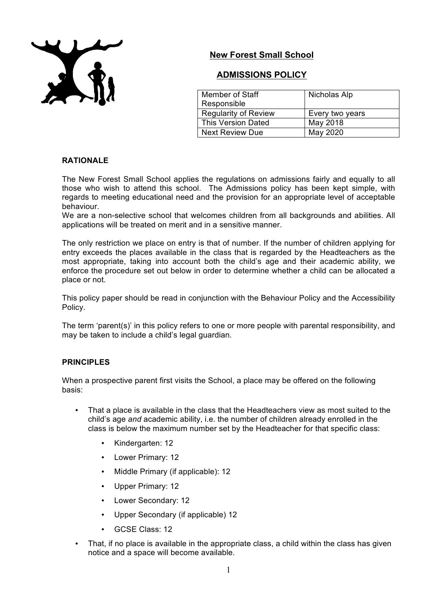

# **New Forest Small School**

# **ADMISSIONS POLICY**

| Member of Staff             | Nicholas Alp    |
|-----------------------------|-----------------|
| Responsible                 |                 |
| <b>Regularity of Review</b> | Every two years |
| <b>This Version Dated</b>   | May 2018        |
| <b>Next Review Due</b>      | May 2020        |

# **RATIONALE**

The New Forest Small School applies the regulations on admissions fairly and equally to all those who wish to attend this school. The Admissions policy has been kept simple, with regards to meeting educational need and the provision for an appropriate level of acceptable behaviour.

We are a non-selective school that welcomes children from all backgrounds and abilities. All applications will be treated on merit and in a sensitive manner.

The only restriction we place on entry is that of number. If the number of children applying for entry exceeds the places available in the class that is regarded by the Headteachers as the most appropriate, taking into account both the child's age and their academic ability, we enforce the procedure set out below in order to determine whether a child can be allocated a place or not.

This policy paper should be read in conjunction with the Behaviour Policy and the Accessibility Policy.

The term 'parent(s)' in this policy refers to one or more people with parental responsibility, and may be taken to include a child's legal guardian.

# **PRINCIPLES**

When a prospective parent first visits the School, a place may be offered on the following basis:

- That a place is available in the class that the Headteachers view as most suited to the child's age *and* academic ability, i.e. the number of children already enrolled in the class is below the maximum number set by the Headteacher for that specific class:
	- Kindergarten: 12
	- Lower Primary: 12
	- Middle Primary (if applicable): 12
	- Upper Primary: 12
	- Lower Secondary: 12
	- Upper Secondary (if applicable) 12
	- GCSE Class: 12
- That, if no place is available in the appropriate class, a child within the class has given notice and a space will become available.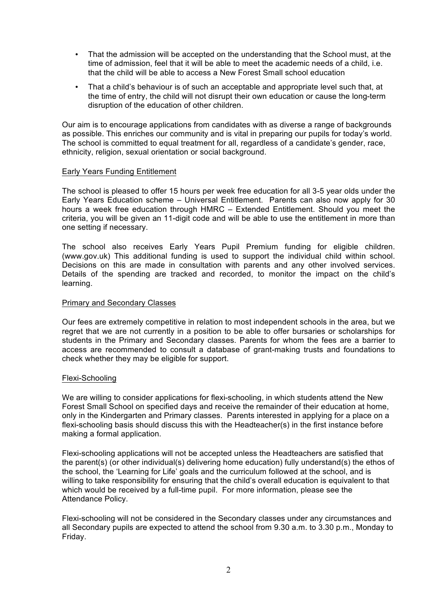- That the admission will be accepted on the understanding that the School must, at the time of admission, feel that it will be able to meet the academic needs of a child, i.e. that the child will be able to access a New Forest Small school education
- That a child's behaviour is of such an acceptable and appropriate level such that, at the time of entry, the child will not disrupt their own education or cause the long-term disruption of the education of other children.

Our aim is to encourage applications from candidates with as diverse a range of backgrounds as possible. This enriches our community and is vital in preparing our pupils for today's world. The school is committed to equal treatment for all, regardless of a candidate's gender, race, ethnicity, religion, sexual orientation or social background.

## Early Years Funding Entitlement

The school is pleased to offer 15 hours per week free education for all 3-5 year olds under the Early Years Education scheme – Universal Entitlement. Parents can also now apply for 30 hours a week free education through HMRC – Extended Entitlement. Should you meet the criteria, you will be given an 11-digit code and will be able to use the entitlement in more than one setting if necessary.

The school also receives Early Years Pupil Premium funding for eligible children. (www.gov.uk) This additional funding is used to support the individual child within school. Decisions on this are made in consultation with parents and any other involved services. Details of the spending are tracked and recorded, to monitor the impact on the child's learning.

## Primary and Secondary Classes

Our fees are extremely competitive in relation to most independent schools in the area, but we regret that we are not currently in a position to be able to offer bursaries or scholarships for students in the Primary and Secondary classes. Parents for whom the fees are a barrier to access are recommended to consult a database of grant-making trusts and foundations to check whether they may be eligible for support.

#### Flexi-Schooling

We are willing to consider applications for flexi-schooling, in which students attend the New Forest Small School on specified days and receive the remainder of their education at home, only in the Kindergarten and Primary classes. Parents interested in applying for a place on a flexi-schooling basis should discuss this with the Headteacher(s) in the first instance before making a formal application.

Flexi-schooling applications will not be accepted unless the Headteachers are satisfied that the parent(s) (or other individual(s) delivering home education) fully understand(s) the ethos of the school, the 'Learning for Life' goals and the curriculum followed at the school, and is willing to take responsibility for ensuring that the child's overall education is equivalent to that which would be received by a full-time pupil. For more information, please see the Attendance Policy.

Flexi-schooling will not be considered in the Secondary classes under any circumstances and all Secondary pupils are expected to attend the school from 9.30 a.m. to 3.30 p.m., Monday to Friday.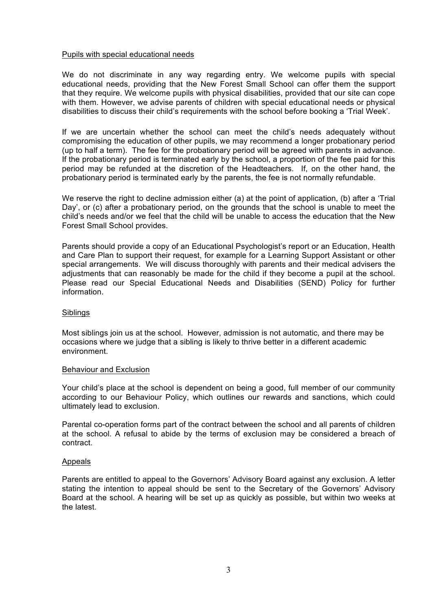## Pupils with special educational needs

We do not discriminate in any way regarding entry. We welcome pupils with special educational needs, providing that the New Forest Small School can offer them the support that they require. We welcome pupils with physical disabilities, provided that our site can cope with them. However, we advise parents of children with special educational needs or physical disabilities to discuss their child's requirements with the school before booking a 'Trial Week'.

If we are uncertain whether the school can meet the child's needs adequately without compromising the education of other pupils, we may recommend a longer probationary period (up to half a term). The fee for the probationary period will be agreed with parents in advance. If the probationary period is terminated early by the school, a proportion of the fee paid for this period may be refunded at the discretion of the Headteachers. If, on the other hand, the probationary period is terminated early by the parents, the fee is not normally refundable.

We reserve the right to decline admission either (a) at the point of application, (b) after a 'Trial Day', or (c) after a probationary period, on the grounds that the school is unable to meet the child's needs and/or we feel that the child will be unable to access the education that the New Forest Small School provides.

Parents should provide a copy of an Educational Psychologist's report or an Education, Health and Care Plan to support their request, for example for a Learning Support Assistant or other special arrangements. We will discuss thoroughly with parents and their medical advisers the adjustments that can reasonably be made for the child if they become a pupil at the school. Please read our Special Educational Needs and Disabilities (SEND) Policy for further information.

#### **Siblings**

Most siblings join us at the school. However, admission is not automatic, and there may be occasions where we judge that a sibling is likely to thrive better in a different academic environment.

#### Behaviour and Exclusion

Your child's place at the school is dependent on being a good, full member of our community according to our Behaviour Policy, which outlines our rewards and sanctions, which could ultimately lead to exclusion.

Parental co-operation forms part of the contract between the school and all parents of children at the school. A refusal to abide by the terms of exclusion may be considered a breach of contract.

#### Appeals

Parents are entitled to appeal to the Governors' Advisory Board against any exclusion. A letter stating the intention to appeal should be sent to the Secretary of the Governors' Advisory Board at the school. A hearing will be set up as quickly as possible, but within two weeks at the latest.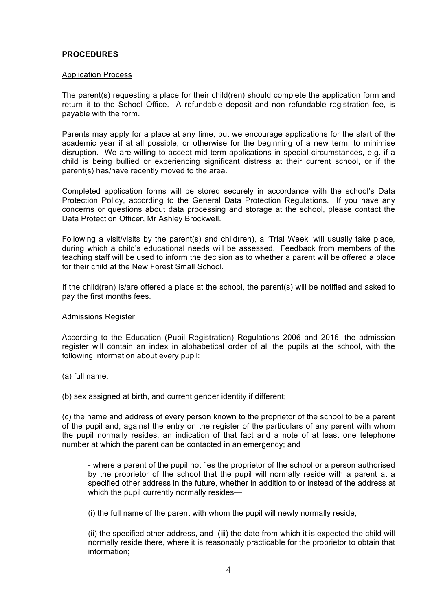# **PROCEDURES**

#### Application Process

The parent(s) requesting a place for their child(ren) should complete the application form and return it to the School Office. A refundable deposit and non refundable registration fee, is payable with the form.

Parents may apply for a place at any time, but we encourage applications for the start of the academic year if at all possible, or otherwise for the beginning of a new term, to minimise disruption. We are willing to accept mid-term applications in special circumstances, e.g. if a child is being bullied or experiencing significant distress at their current school, or if the parent(s) has/have recently moved to the area.

Completed application forms will be stored securely in accordance with the school's Data Protection Policy, according to the General Data Protection Regulations. If you have any concerns or questions about data processing and storage at the school, please contact the Data Protection Officer, Mr Ashley Brockwell.

Following a visit/visits by the parent(s) and child(ren), a 'Trial Week' will usually take place, during which a child's educational needs will be assessed. Feedback from members of the teaching staff will be used to inform the decision as to whether a parent will be offered a place for their child at the New Forest Small School.

If the child(ren) is/are offered a place at the school, the parent(s) will be notified and asked to pay the first months fees.

#### Admissions Register

According to the Education (Pupil Registration) Regulations 2006 and 2016, the admission register will contain an index in alphabetical order of all the pupils at the school, with the following information about every pupil:

- (a) full name;
- (b) sex assigned at birth, and current gender identity if different;

(c) the name and address of every person known to the proprietor of the school to be a parent of the pupil and, against the entry on the register of the particulars of any parent with whom the pupil normally resides, an indication of that fact and a note of at least one telephone number at which the parent can be contacted in an emergency; and

- where a parent of the pupil notifies the proprietor of the school or a person authorised by the proprietor of the school that the pupil will normally reside with a parent at a specified other address in the future, whether in addition to or instead of the address at which the pupil currently normally resides—

(i) the full name of the parent with whom the pupil will newly normally reside,

(ii) the specified other address, and (iii) the date from which it is expected the child will normally reside there, where it is reasonably practicable for the proprietor to obtain that information;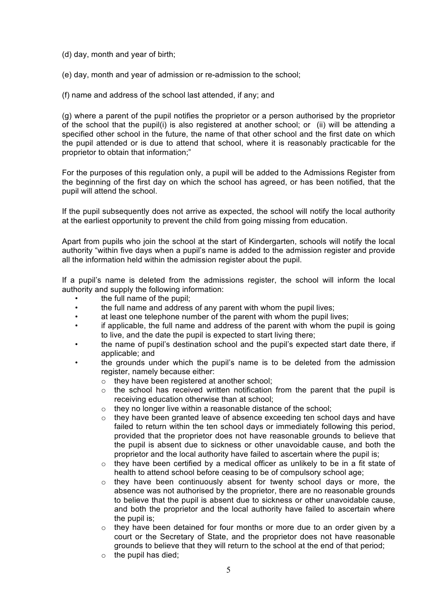(d) day, month and year of birth;

(e) day, month and year of admission or re-admission to the school;

(f) name and address of the school last attended, if any; and

(g) where a parent of the pupil notifies the proprietor or a person authorised by the proprietor of the school that the pupil(i) is also registered at another school; or (ii) will be attending a specified other school in the future, the name of that other school and the first date on which the pupil attended or is due to attend that school, where it is reasonably practicable for the proprietor to obtain that information;"

For the purposes of this regulation only, a pupil will be added to the Admissions Register from the beginning of the first day on which the school has agreed, or has been notified, that the pupil will attend the school.

If the pupil subsequently does not arrive as expected, the school will notify the local authority at the earliest opportunity to prevent the child from going missing from education.

Apart from pupils who join the school at the start of Kindergarten, schools will notify the local authority "within five days when a pupil's name is added to the admission register and provide all the information held within the admission register about the pupil.

If a pupil's name is deleted from the admissions register, the school will inform the local authority and supply the following information:

- the full name of the pupil;
- the full name and address of any parent with whom the pupil lives;
- at least one telephone number of the parent with whom the pupil lives;
- if applicable, the full name and address of the parent with whom the pupil is going to live, and the date the pupil is expected to start living there;
- the name of pupil's destination school and the pupil's expected start date there, if applicable; and
- the grounds under which the pupil's name is to be deleted from the admission register, namely because either:
	- $\circ$  they have been registered at another school:
	- $\circ$  the school has received written notification from the parent that the pupil is receiving education otherwise than at school;
	- o they no longer live within a reasonable distance of the school;
	- o they have been granted leave of absence exceeding ten school days and have failed to return within the ten school days or immediately following this period, provided that the proprietor does not have reasonable grounds to believe that the pupil is absent due to sickness or other unavoidable cause, and both the proprietor and the local authority have failed to ascertain where the pupil is;
	- o they have been certified by a medical officer as unlikely to be in a fit state of health to attend school before ceasing to be of compulsory school age;
	- $\circ$  they have been continuously absent for twenty school days or more, the absence was not authorised by the proprietor, there are no reasonable grounds to believe that the pupil is absent due to sickness or other unavoidable cause, and both the proprietor and the local authority have failed to ascertain where the pupil is;
	- $\circ$  they have been detained for four months or more due to an order given by a court or the Secretary of State, and the proprietor does not have reasonable grounds to believe that they will return to the school at the end of that period;
	- $\circ$  the pupil has died;